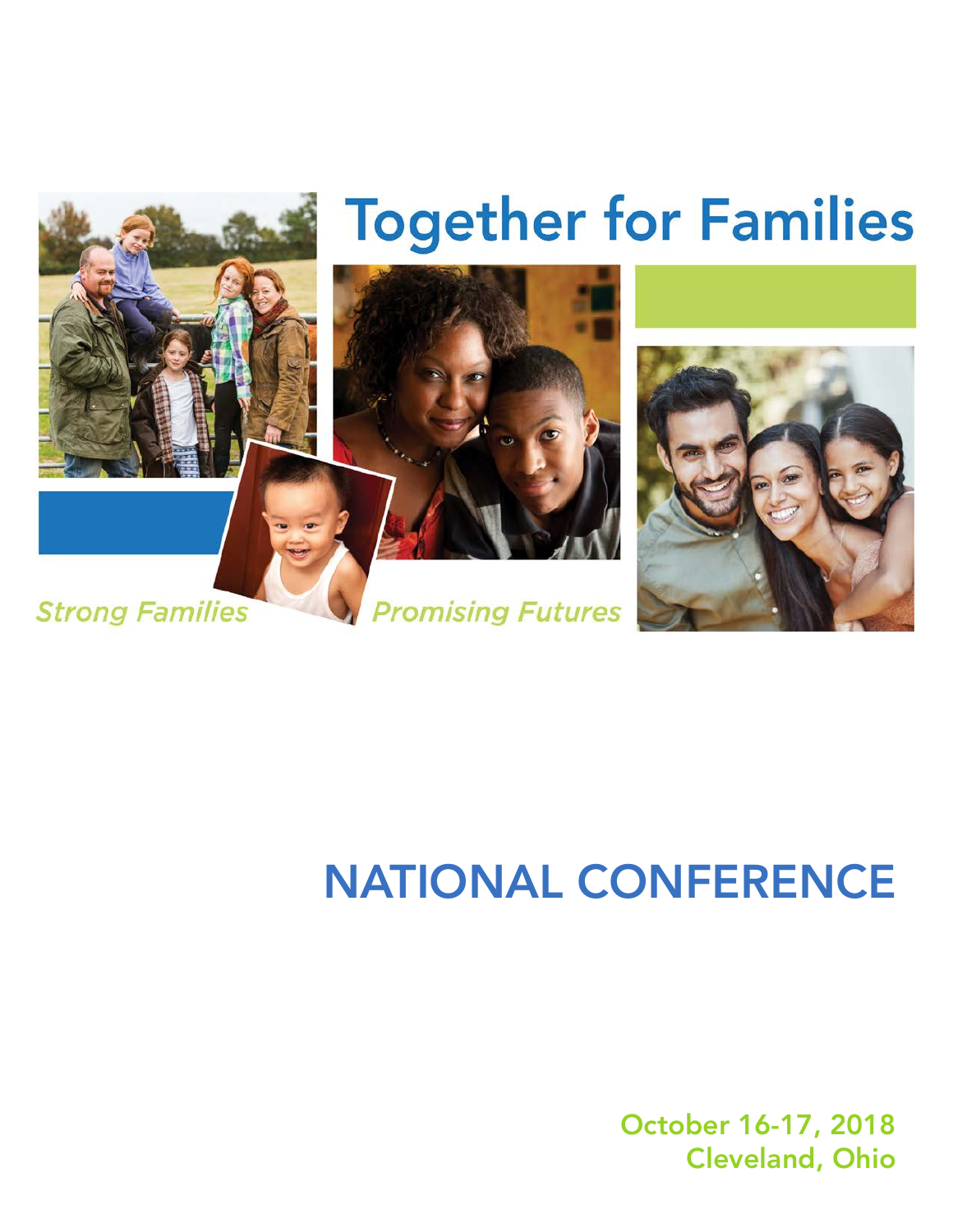

# NATIONAL CONFERENCE

October 16-17, 2018 Cleveland, Ohio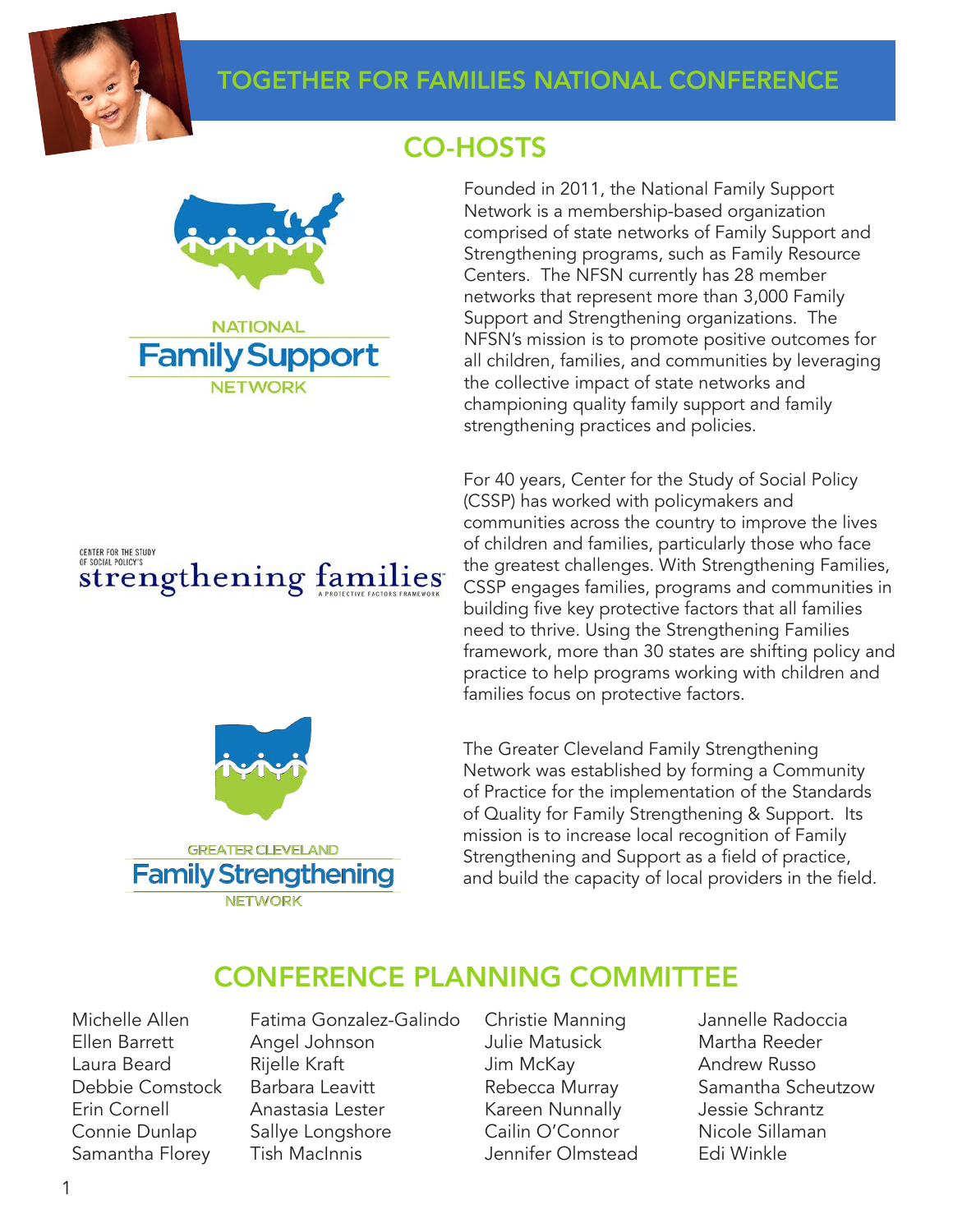

### TOGETHER FOR FAMILIES NATIONAL CONFERENCE



**NETWORK** 

CENTER FOR THE STUDY OF SOCIAL POLICY'S strengthening families



### CO-HOSTS

Founded in 2011, the National Family Support Network is a membership-based organization comprised of state networks of Family Support and Strengthening programs, such as Family Resource Centers. The NFSN currently has 28 member networks that represent more than 3,000 Family Support and Strengthening organizations. The NFSN's mission is to promote positive outcomes for all children, families, and communities by leveraging the collective impact of state networks and championing quality family support and family strengthening practices and policies.

For 40 years, Center for the Study of Social Policy (CSSP) has worked with policymakers and communities across the country to improve the lives of children and families, particularly those who face the greatest challenges. With Strengthening Families, CSSP engages families, programs and communities in building five key protective factors that all families need to thrive. Using the Strengthening Families framework, more than 30 states are shifting policy and practice to help programs working with children and families focus on protective factors.

The Greater Cleveland Family Strengthening Network was established by forming a Community of Practice for the implementation of the Standards of Quality for Family Strengthening & Support. Its mission is to increase local recognition of Family Strengthening and Support as a field of practice, and build the capacity of local providers in the field.

### CONFERENCE PLANNING COMMITTEE

Michelle Allen Fatima Gonzalez-Galindo Christie Manning Jannelle Radoccia Ellen Barrett Angel Johnson Julie Matusick Martha Reeder Laura Beard Rijelle Kraft Jim McKay Andrew Russo Debbie Comstock Barbara Leavitt **Rebecca Murray** Samantha Scheutzow Erin Cornell Anastasia Lester Kareen Nunnally Jessie Schrantz Connie Dunlap Sallye Longshore Cailin O'Connor Nicole Sillaman Samantha Florey Tish MacInnis **Samantha Florey** Tish MacInnis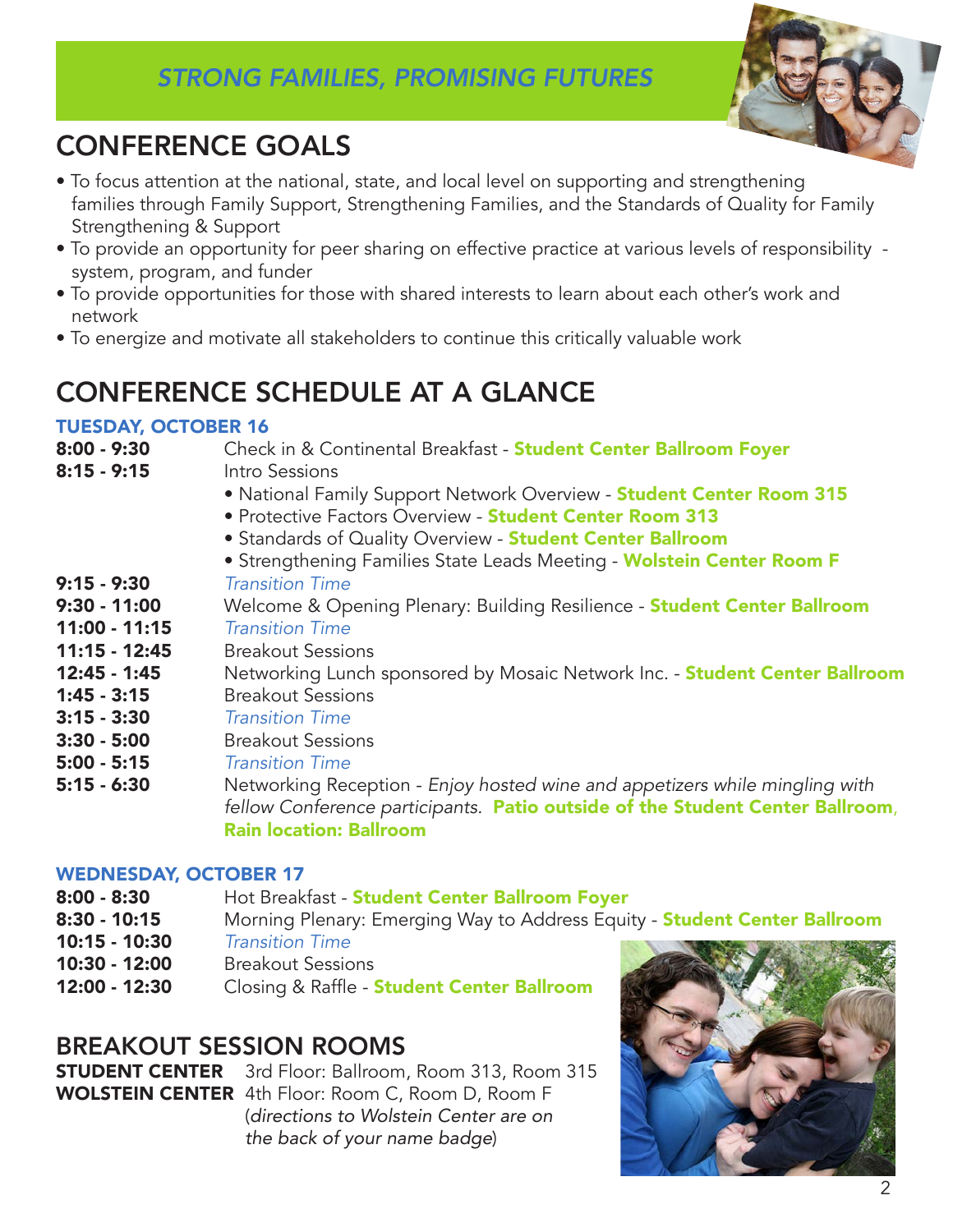# *STRONG FAMILIES, PROMISING FUTURES*



# CONFERENCE GOALS

- To focus attention at the national, state, and local level on supporting and strengthening families through Family Support, Strengthening Families, and the Standards of Quality for Family Strengthening & Support
- To provide an opportunity for peer sharing on effective practice at various levels of responsibility system, program, and funder
- To provide opportunities for those with shared interests to learn about each other's work and network
- To energize and motivate all stakeholders to continue this critically valuable work

# CONFERENCE SCHEDULE AT A GLANCE

### TUESDAY, OCTOBER 16

| $8:00 - 9:30$   | Check in & Continental Breakfast - Student Center Ballroom Foyer              |
|-----------------|-------------------------------------------------------------------------------|
| $8:15 - 9:15$   | Intro Sessions                                                                |
|                 | • National Family Support Network Overview - Student Center Room 315          |
|                 | • Protective Factors Overview - Student Center Room 313                       |
|                 | • Standards of Quality Overview - Student Center Ballroom                     |
|                 | • Strengthening Families State Leads Meeting - Wolstein Center Room F         |
| $9:15 - 9:30$   | <b>Transition Time</b>                                                        |
| $9:30 - 11:00$  | Welcome & Opening Plenary: Building Resilience - Student Center Ballroom      |
| $11:00 - 11:15$ | <b>Transition Time</b>                                                        |
| $11:15 - 12:45$ | <b>Breakout Sessions</b>                                                      |
| $12:45 - 1:45$  | Networking Lunch sponsored by Mosaic Network Inc. - Student Center Ballroom   |
| $1:45 - 3:15$   | <b>Breakout Sessions</b>                                                      |
| $3:15 - 3:30$   | <b>Transition Time</b>                                                        |
| $3:30 - 5:00$   | <b>Breakout Sessions</b>                                                      |
| $5:00 - 5:15$   | <b>Transition Time</b>                                                        |
| $5:15 - 6:30$   | Networking Reception - Enjoy hosted wine and appetizers while mingling with   |
|                 | fellow Conference participants. Patio outside of the Student Center Ballroom, |
|                 | <b>Rain location: Ballroom</b>                                                |

#### WEDNESDAY, OCTOBER 17

- 8:00 8:30 Hot Breakfast Student Center Ballroom Foyer
- 8:30 10:15 Morning Plenary: Emerging Way to Address Equity **Student Center Ballroom**
- 10:15 10:30 *Transition Time*
- 10:30 12:00 Breakout Sessions
- 12:00 12:30 Closing & Raffle Student Center Ballroom

### BREAKOUT SESSION ROOMS

**STUDENT CENTER** 3rd Floor: Ballroom, Room 313, Room 315 WOLSTEIN CENTER 4th Floor: Room C, Room D, Room F (*directions to Wolstein Center are on the back of your name badge*)

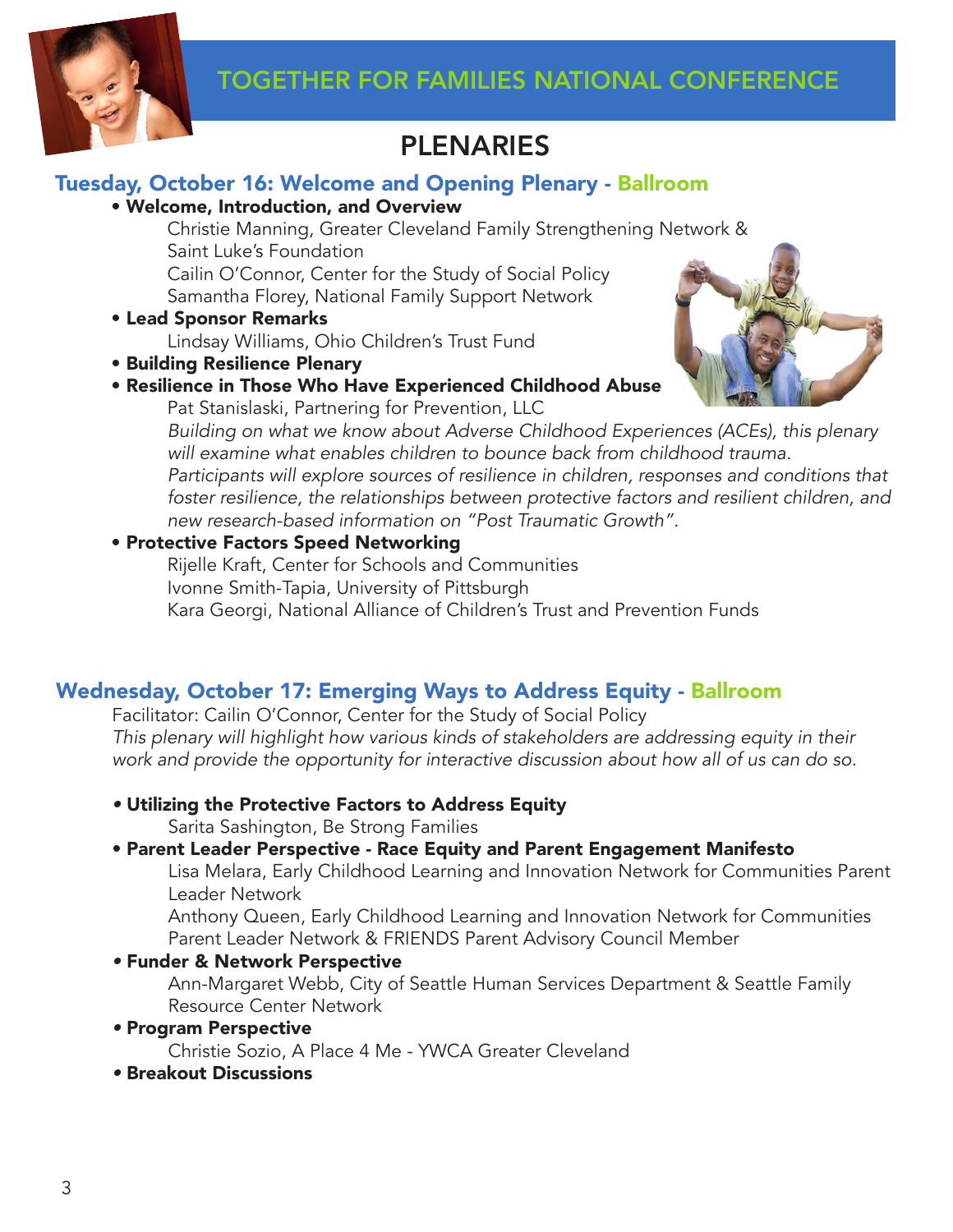

# PLENARIES

### Tuesday, October 16: Welcome and Opening Plenary - Ballroom

• Welcome, Introduction, and Overview

 Christie Manning, Greater Cleveland Family Strengthening Network & Saint Luke's Foundation Cailin O'Connor, Center for the Study of Social Policy

Samantha Florey, National Family Support Network

• Lead Sponsor Remarks

Lindsay Williams, Ohio Children's Trust Fund

- Building Resilience Plenary
- Resilience in Those Who Have Experienced Childhood Abuse

Pat Stanislaski, Partnering for Prevention, LLC



 *Building on what we know about Adverse Childhood Experiences (ACEs), this plenary will examine what enables children to bounce back from childhood trauma. Participants will explore sources of resilience in children, responses and conditions that* 

foster resilience, the relationships between protective factors and resilient children, and  *new research-based information on "Post Traumatic Growth".*

### • Protective Factors Speed Networking

 Rijelle Kraft, Center for Schools and Communities Ivonne Smith-Tapia, University of Pittsburgh Kara Georgi, National Alliance of Children's Trust and Prevention Funds

### Wednesday, October 17: Emerging Ways to Address Equity - Ballroom

Facilitator: Cailin O'Connor, Center for the Study of Social Policy *This plenary will highlight how various kinds of stakeholders are addressing equity in their work and provide the opportunity for interactive discussion about how all of us can do so.*

*•* Utilizing the Protective Factors to Address Equity

Sarita Sashington, Be Strong Families

### • Parent Leader Perspective - Race Equity and Parent Engagement Manifesto

 Lisa Melara, Early Childhood Learning and Innovation Network for Communities Parent Leader Network

 Anthony Queen, Early Childhood Learning and Innovation Network for Communities Parent Leader Network & FRIENDS Parent Advisory Council Member

*•* Funder & Network Perspective

 Ann-Margaret Webb, City of Seattle Human Services Department & Seattle Family Resource Center Network

*•* Program Perspective

Christie Sozio, A Place 4 Me - YWCA Greater Cleveland

*•* Breakout Discussions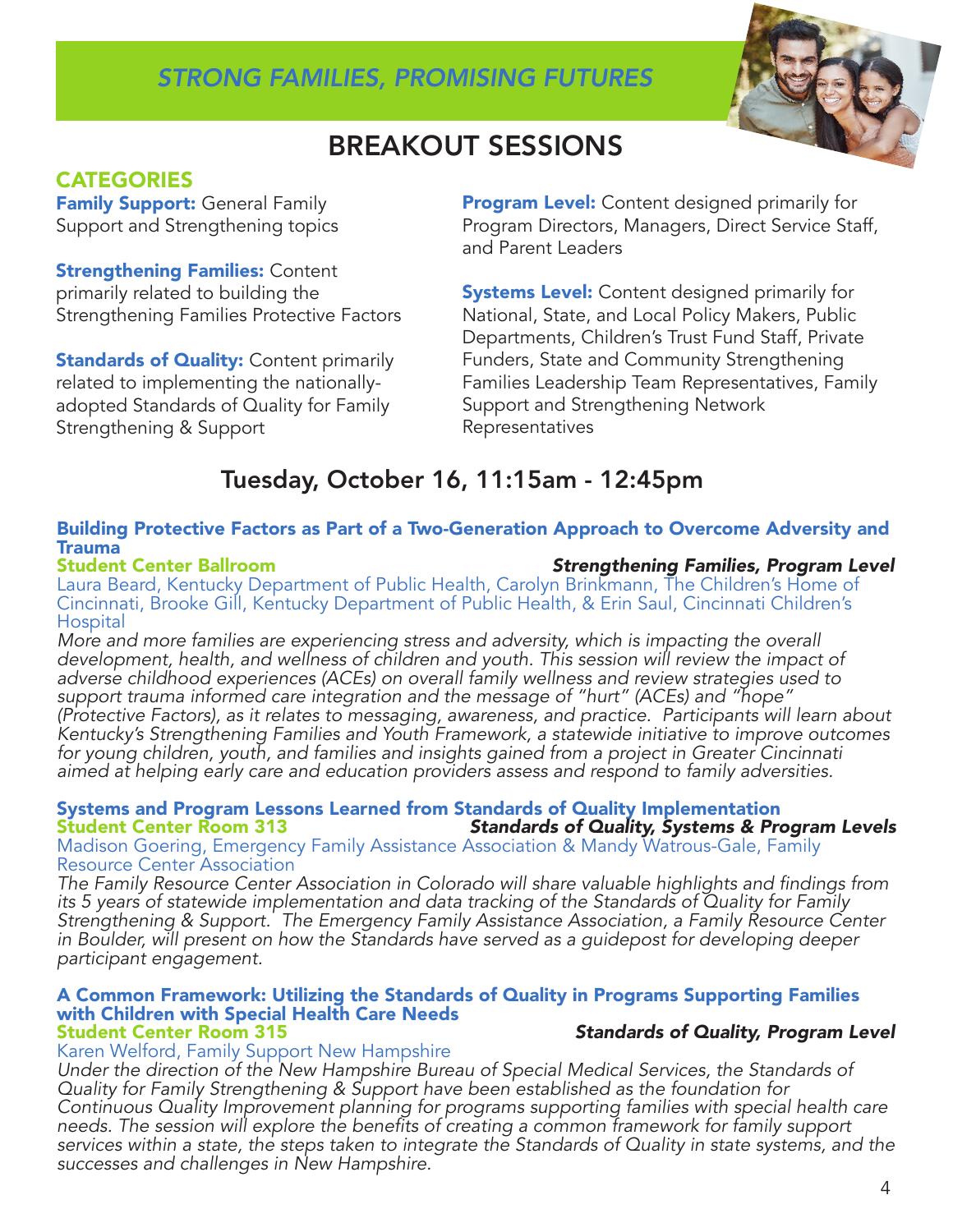### *STRONG FAMILIES, PROMISING FUTURES*



# BREAKOUT SESSIONS

### **CATEGORIES**

**Family Support:** General Family Support and Strengthening topics

**Strengthening Families: Content** primarily related to building the Strengthening Families Protective Factors

**Standards of Quality: Content primarily** related to implementing the nationallyadopted Standards of Quality for Family Strengthening & Support

**Program Level:** Content designed primarily for Program Directors, Managers, Direct Service Staff, and Parent Leaders

**Systems Level:** Content designed primarily for National, State, and Local Policy Makers, Public Departments, Children's Trust Fund Staff, Private Funders, State and Community Strengthening Families Leadership Team Representatives, Family Support and Strengthening Network Representatives

# Tuesday, October 16, 11:15am - 12:45pm

### Building Protective Factors as Part of a Two-Generation Approach to Overcome Adversity and Trauma<br>Student Center Ballroom

#### **Strengthening Families, Program Level**

Laura Beard, Kentucky Department of Public Health, Carolyn Brinkmann, The Children's Home of Cincinnati, Brooke Gill, Kentucky Department of Public Health, & Erin Saul, Cincinnati Children's Hospital

*More and more families are experiencing stress and adversity, which is impacting the overall development, health, and wellness of children and youth. This session will review the impact of adverse childhood experiences (ACEs) on overall family wellness and review strategies used to support trauma informed care integration and the message of "hurt" (ACEs) and "hope" (Protective Factors), as it relates to messaging, awareness, and practice. Participants will learn about Kentucky's Strengthening Families and Youth Framework, a statewide initiative to improve outcomes for young children, youth, and families and insights gained from a project in Greater Cincinnati aimed at helping early care and education providers assess and respond to family adversities.* 

#### Systems and Program Lessons Learned from Standards of Quality Implementation **Standards of Quality, Systems & Program Levels**

Madison Goering, Emergency Family Assistance Association & Mandy Watrous-Gale, Family Resource Center Association

The Family Resource Center Association in Colorado will share valuable highlights and findings from *its 5 years of statewide implementation and data tracking of the Standards of Quality for Family Strengthening & Support. The Emergency Family Assistance Association, a Family Resource Center in Boulder, will present on how the Standards have served as a guidepost for developing deeper participant engagement.* 

#### A Common Framework: Utilizing the Standards of Quality in Programs Supporting Families with Children with Special Health Care Needs<br>Student Center Room 315 **Standards of Quality, Program Level**

#### Karen Welford, Family Support New Hampshire

*Under the direction of the New Hampshire Bureau of Special Medical Services, the Standards of Quality for Family Strengthening & Support have been established as the foundation for Continuous Quality Improvement planning for programs supporting families with special health care*  needs. The session will explore the benefits of creating a common framework for family support *services within a state, the steps taken to integrate the Standards of Quality in state systems, and the successes and challenges in New Hampshire.*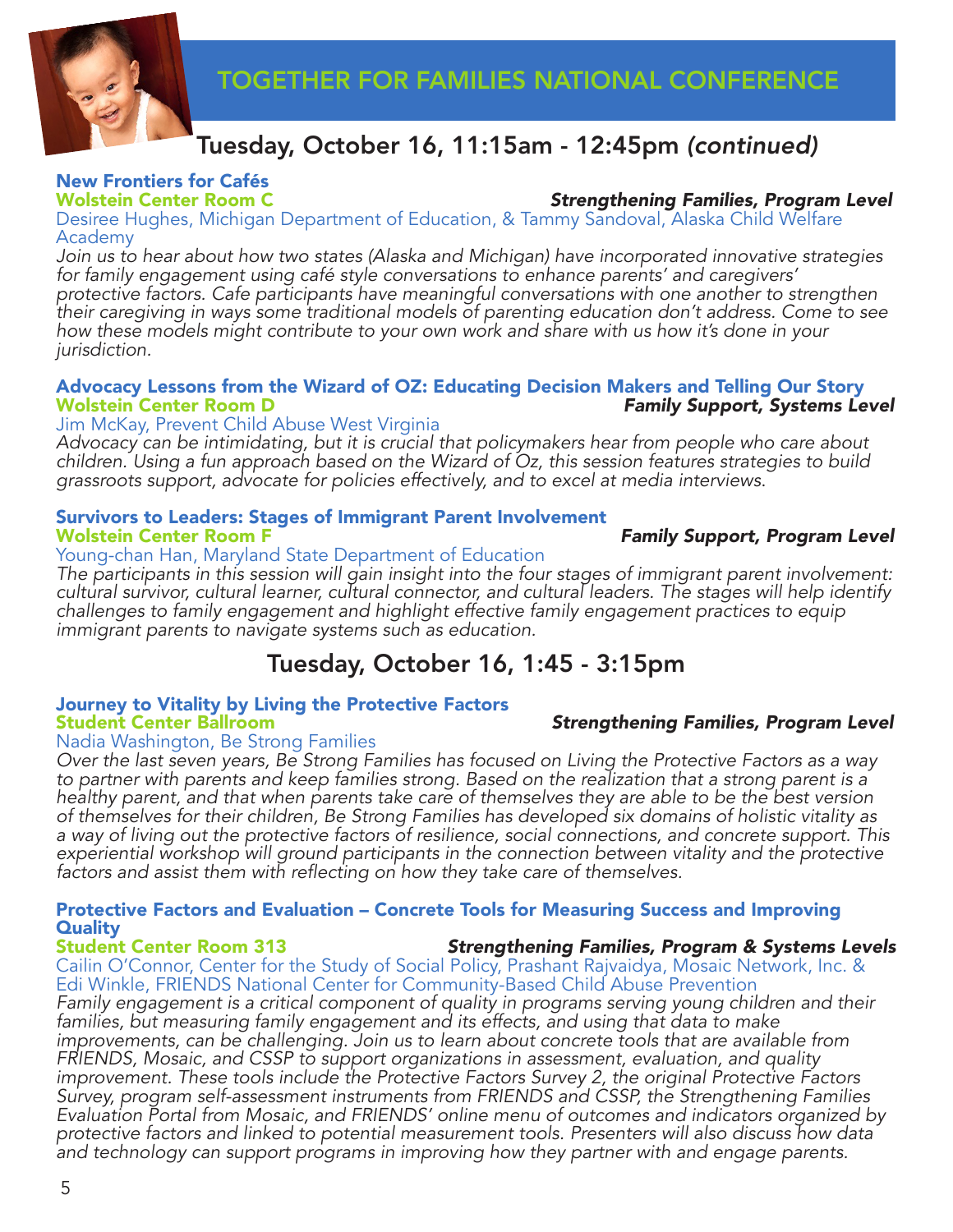

## Tuesday, October 16, 11:15am - 12:45pm *(continued)*

# New Frontiers for Cafés

#### **Strengthening Families, Program Level**

Desiree Hughes, Michigan Department of Education, & Tammy Sandoval, Alaska Child Welfare Academy

*Join us to hear about how two states (Alaska and Michigan) have incorporated innovative strategies for family engagement using café style conversations to enhance parents' and caregivers' protective factors. Cafe participants have meaningful conversations with one another to strengthen their caregiving in ways some traditional models of parenting education don't address. Come to see how these models might contribute to your own work and share with us how it's done in your jurisdiction.* 

#### Advocacy Lessons from the Wizard of OZ: Educating Decision Makers and Telling Our Story **Family Support, Systems Level**

#### Jim McKay, Prevent Child Abuse West Virginia

*Advocacy can be intimidating, but it is crucial that policymakers hear from people who care about children. Using a fun approach based on the Wizard of Oz, this session features strategies to build grassroots support, advocate for policies effectively, and to excel at media interviews*.

# Survivors to Leaders: Stages of Immigrant Parent Involvement

#### Young-chan Han, Maryland State Department of Education

*The participants in this session will gain insight into the four stages of immigrant parent involvement: cultural survivor, cultural learner, cultural connector, and cultural leaders. The stages will help identify challenges to family engagement and highlight effective family engagement practices to equip immigrant parents to navigate systems such as education.* 

### Tuesday, October 16, 1:45 - 3:15pm

# Journey to Vitality by Living the Protective Factors

#### Nadia Washington, Be Strong Families

*Over the last seven years, Be Strong Families has focused on Living the Protective Factors as a way to partner with parents and keep families strong. Based on the realization that a strong parent is a healthy parent, and that when parents take care of themselves they are able to be the best version of themselves for their children, Be Strong Families has developed six domains of holistic vitality as a way of living out the protective factors of resilience, social connections, and concrete support. This experiential workshop will ground participants in the connection between vitality and the protective*  factors and assist them with reflecting on how they take care of themselves.

### Protective Factors and Evaluation – Concrete Tools for Measuring Success and Improving **Quality<br>Student Center Room 313**

**Strengthening Families, Program & Systems Levels** Cailin O'Connor, Center for the Study of Social Policy, Prashant Rajvaidya, Mosaic Network, Inc. & Edi Winkle, FRIENDS National Center for Community-Based Child Abuse Prevention *Family engagement is a critical component of quality in programs serving young children and their*  families, but measuring family engagement and its effects, and using that data to make

*improvements, can be challenging. Join us to learn about concrete tools that are available from FRIENDS, Mosaic, and CSSP to support organizations in assessment, evaluation, and quality improvement. These tools include the Protective Factors Survey 2, the original Protective Factors Survey, program self-assessment instruments from FRIENDS and CSSP, the Strengthening Families Evaluation Portal from Mosaic, and FRIENDS' online menu of outcomes and indicators organized by protective factors and linked to potential measurement tools. Presenters will also discuss how data and technology can support programs in improving how they partner with and engage parents.*

### **Strengthening Families, Program Level**

**Family Support, Program Level**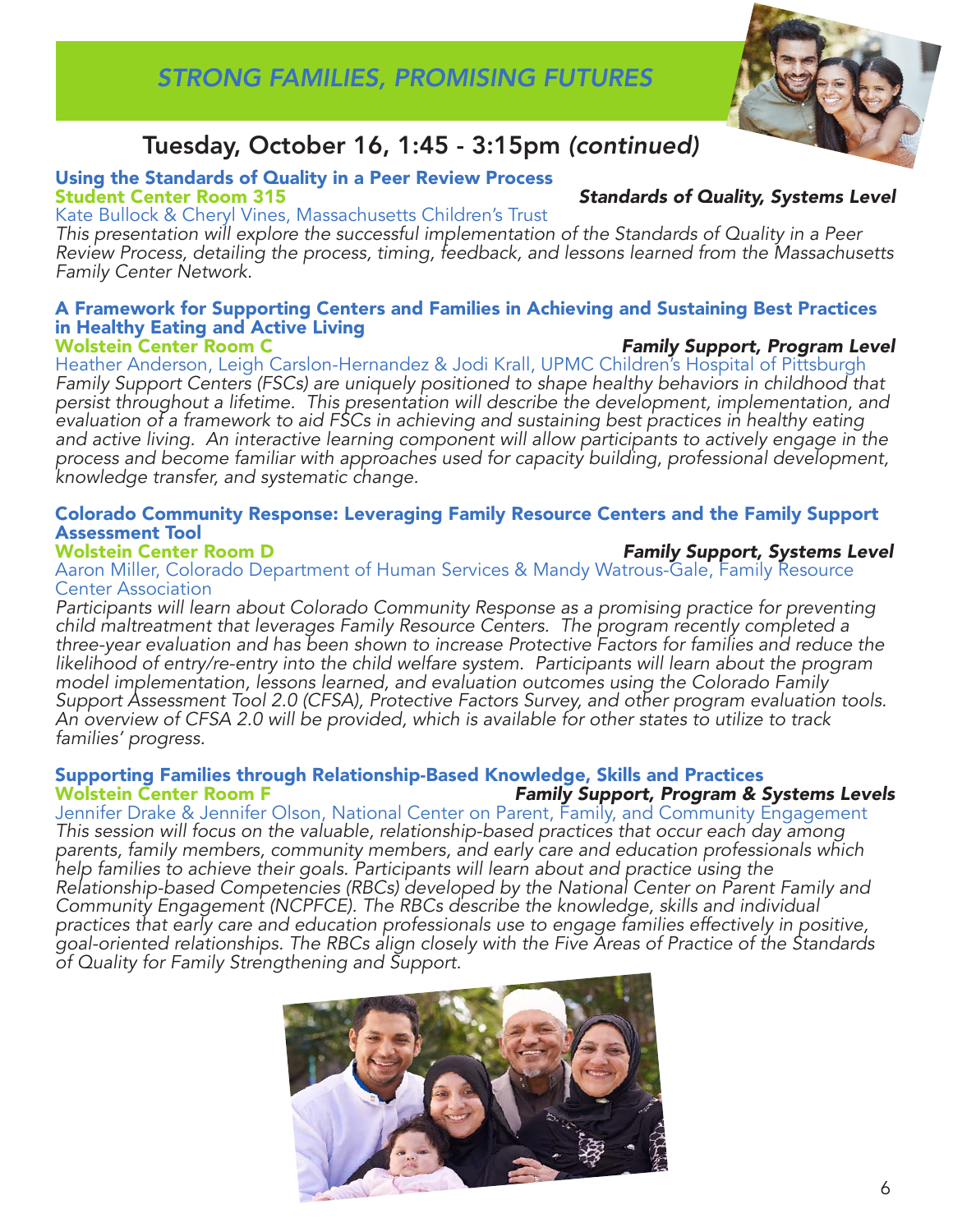

## Tuesday, October 16, 1:45 - 3:15pm *(continued)*

# Using the Standards of Quality in a Peer Review Process

Kate Bullock & Cheryl Vines, Massachusetts Children's Trust

*This presentation will explore the successful implementation of the Standards of Quality in a Peer Review Process, detailing the process, timing, feedback, and lessons learned from the Massachusetts Family Center Network.* 

#### A Framework for Supporting Centers and Families in Achieving and Sustaining Best Practices in Healthy Eating and Active Living **Family Support, Program Level**

Heather Anderson, Leigh Carslon-Hernandez & Jodi Krall, UPMC Children's Hospital of Pittsburgh *Family Support Centers (FSCs) are uniquely positioned to shape healthy behaviors in childhood that persist throughout a lifetime. This presentation will describe the development, implementation, and evaluation of a framework to aid FSCs in achieving and sustaining best practices in healthy eating*  and active living. An interactive learning component will allow participants to actively engage in the *process and become familiar with approaches used for capacity building, professional development, knowledge transfer, and systematic change.* 

### Colorado Community Response: Leveraging Family Resource Centers and the Family Support **Assessment Tool<br>Wolstein Center Room D**

#### **Family Support, Systems Level** Aaron Miller, Colorado Department of Human Services & Mandy Watrous-Gale, Family Resource Center Association

*Participants will learn about Colorado Community Response as a promising practice for preventing child maltreatment that leverages Family Resource Centers. The program recently completed a three-year evaluation and has been shown to increase Protective Factors for families and reduce the likelihood of entry/re-entry into the child welfare system. Participants will learn about the program model implementation, lessons learned, and evaluation outcomes using the Colorado Family Support Assessment Tool 2.0 (CFSA), Protective Factors Survey, and other program evaluation tools. An overview of CFSA 2.0 will be provided, which is available for other states to utilize to track families' progress.* 

#### Supporting Families through Relationship-Based Knowledge, Skills and Practices **Family Support, Program & Systems Levels**

Jennifer Drake & Jennifer Olson, National Center on Parent, Family, and Community Engagement *This session will focus on the valuable, relationship-based practices that occur each day among parents, family members, community members, and early care and education professionals which*  help families to achieve their goals. Participants will learn about and practice using the *Relationship-based Competencies (RBCs) developed by the National Center on Parent Family and Community Engagement (NCPFCE). The RBCs describe the knowledge, skills and individual practices that early care and education professionals use to engage families effectively in positive, goal-oriented relationships. The RBCs align closely with the Five Areas of Practice of the Standards of Quality for Family Strengthening and Support.* 



### **Standards of Quality, Systems Level**

6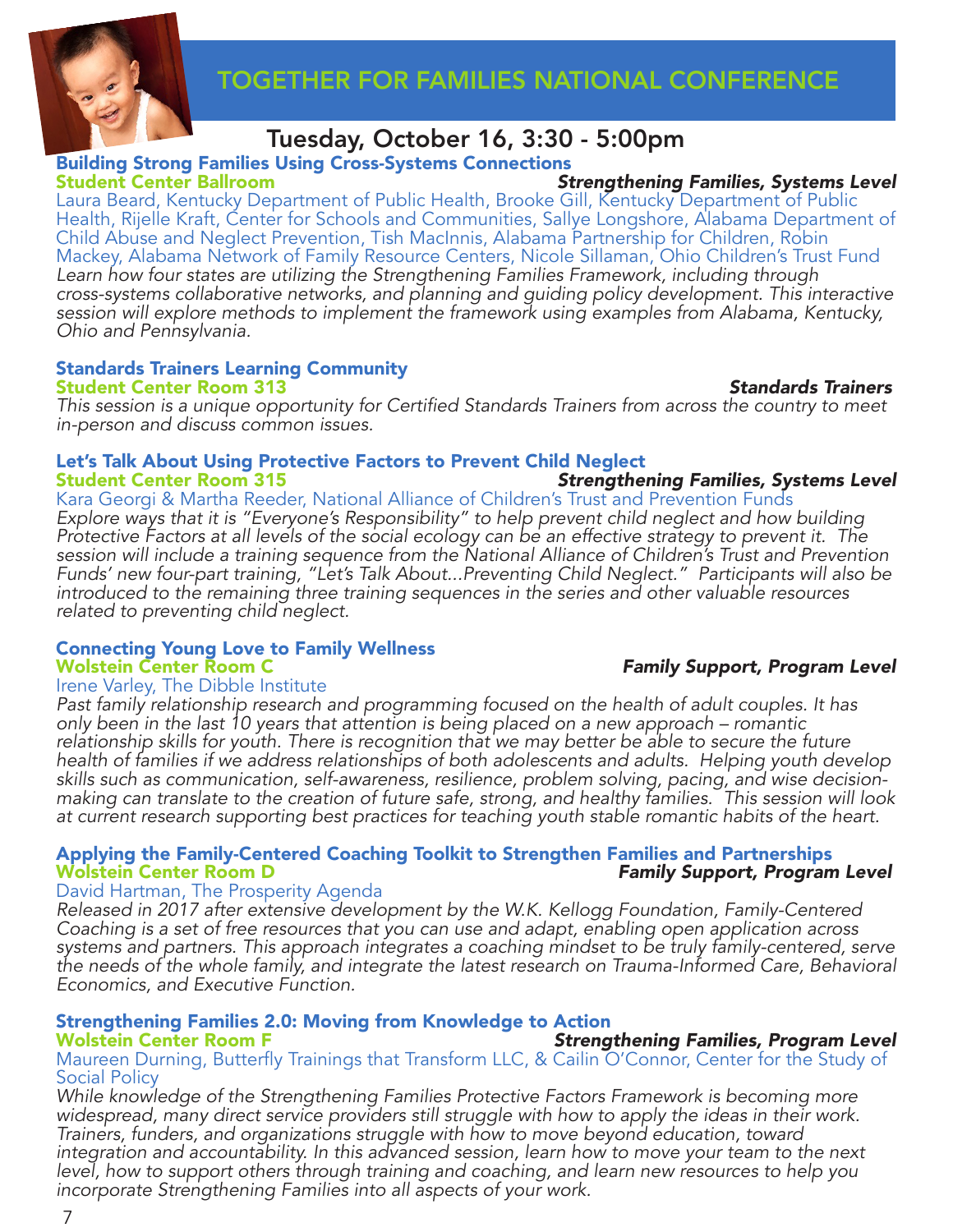



## Tuesday, October 16, 3:30 - 5:00pm

# **Building Strong Families Using Cross-Systems Connections<br>Student Center Ballroom**

**Strengthening Families, Systems Level** Laura Beard, Kentucky Department of Public Health, Brooke Gill, Kentucky Department of Public Health, Rijelle Kraft, Center for Schools and Communities, Sallye Longshore, Alabama Department of Child Abuse and Neglect Prevention, Tish MacInnis, Alabama Partnership for Children, Robin Mackey, Alabama Network of Family Resource Centers, Nicole Sillaman, Ohio Children's Trust Fund *Learn how four states are utilizing the Strengthening Families Framework, including through cross-systems collaborative networks, and planning and guiding policy development. This interactive session will explore methods to implement the framework using examples from Alabama, Kentucky, Ohio and Pennsylvania.* 

#### Standards Trainers Learning Community Student Center Room 313 *Standards Trainers*

**Family Support, Program Level** 

This session is a unique opportunity for Certified Standards Trainers from across the country to meet *in-person and discuss common issues.* 

# Let's Talk About Using Protective Factors to Prevent Child Neglect

**Strengthening Families, Systems Level** Kara Georgi & Martha Reeder, National Alliance of Children's Trust and Prevention Funds

*Explore ways that it is "Everyone's Responsibility" to help prevent child neglect and how building Protective Factors at all levels of the social ecology can be an effective strategy to prevent it. The session will include a training sequence from the National Alliance of Children's Trust and Prevention Funds' new four-part training, "Let's Talk About...Preventing Child Neglect." Participants will also be introduced to the remaining three training sequences in the series and other valuable resources related to preventing child neglect.*

# Connecting Young Love to Family Wellness

Irene Varley, The Dibble Institute

*Past family relationship research and programming focused on the health of adult couples. It has only been in the last 10 years that attention is being placed on a new approach – romantic relationship skills for youth. There is recognition that we may better be able to secure the future health of families if we address relationships of both adolescents and adults. Helping youth develop skills such as communication, self-awareness, resilience, problem solving, pacing, and wise decisionmaking can translate to the creation of future safe, strong, and healthy families. This session will look at current research supporting best practices for teaching youth stable romantic habits of the heart.*

#### Applying the Family-Centered Coaching Toolkit to Strengthen Families and Partnerships<br>Wolstein Center Room D **Family Support, Program Level**

#### David Hartman, The Prosperity Agenda

*Released in 2017 after extensive development by the W.K. Kellogg Foundation, Family-Centered Coaching is a set of free resources that you can use and adapt, enabling open application across systems and partners. This approach integrates a coaching mindset to be truly family-centered, serve the needs of the whole family, and integrate the latest research on Trauma-Informed Care, Behavioral Economics, and Executive Function.* 

# Strengthening Families 2.0: Moving from Knowledge to Action

### Maureen Durning, Butterfly Trainings that Transform LLC, & Cailin O'Connor, Center for the Study of Social Policy

*While knowledge of the Strengthening Families Protective Factors Framework is becoming more widespread, many direct service providers still struggle with how to apply the ideas in their work. Trainers, funders, and organizations struggle with how to move beyond education, toward integration and accountability. In this advanced session, learn how to move your team to the next level, how to support others through training and coaching, and learn new resources to help you incorporate Strengthening Families into all aspects of your work.*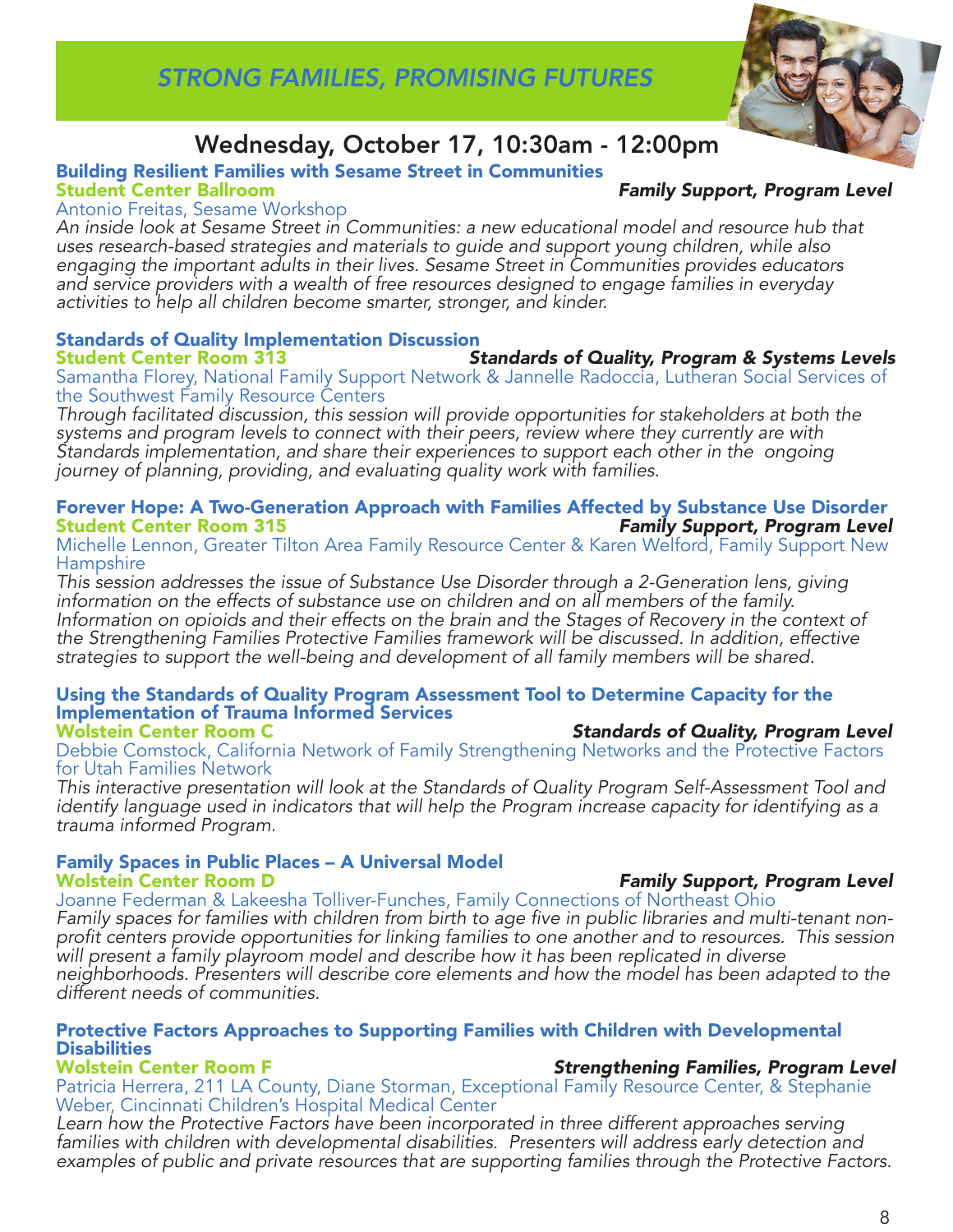

# Wednesday, October 17, 10:30am - 12:00pm

# Building Resilient Families with Sesame Street in Communities

#### **Family Support, Program Level**

#### Antonio Freitas, Sesame Workshop

*An inside look at Sesame Street in Communities: a new educational model and resource hub that uses research-based strategies and materials to guide and support young children, while also engaging the important adults in their lives. Sesame Street in Communities provides educators and service providers with a wealth of free resources designed to engage families in everyday activities to help all children become smarter, stronger, and kinder.* 

# Standards of Quality Implementation Discussion

**Standards of Quality, Program & Systems Levels** Samantha Florey, National Family Support Network & Jannelle Radoccia, Lutheran Social Services of the Southwest Family Resource Centers

*Through facilitated discussion, this session will provide opportunities for stakeholders at both the systems and program levels to connect with their peers, review where they currently are with Standards implementation, and share their experiences to support each other in the ongoing journey of planning, providing, and evaluating quality work with families.* 

# Forever Hope: A Two-Generation Approach with Families Affected by Substance Use Disorder<br>Student Center Room 315

Michelle Lennon, Greater Tilton Area Family Resource Center & Karen Welford, Family Support New **Hampshire** 

*This session addresses the issue of Substance Use Disorder through a 2-Generation lens, giving information on the effects of substance use on children and on all members of the family.*  Information on opioids and their effects on the brain and the Stages of Recovery in the context of *the Strengthening Families Protective Families framework will be discussed. In addition, effective strategies to support the well-being and development of all family members will be shared.* 

#### Using the Standards of Quality Program Assessment Tool to Determine Capacity for the Implementation of Trauma Informed Services **Standards of Quality, Program Level**

Debbie Comstock, California Network of Family Strengthening Networks and the Protective Factors for Utah Families Network

*This interactive presentation will look at the Standards of Quality Program Self-Assessment Tool and identify language used in indicators that will help the Program increase capacity for identifying as a trauma informed Program.* 

# Family Spaces in Public Places – A Universal Model

Joanne Federman & Lakeesha Tolliver-Funches, Family Connections of Northeast Ohio

Family spaces for families with children from birth to age five in public libraries and multi-tenant nonprofit centers provide opportunities for linking families to one another and to resources. This session *will present a family playroom model and describe how it has been replicated in diverse neighborhoods. Presenters will describe core elements and how the model has been adapted to the different needs of communities.* 

### Protective Factors Approaches to Supporting Families with Children with Developmental Disabilities

Patricia Herrera, 211 LA County, Diane Storman, Exceptional Family Resource Center, & Stephanie Weber, Cincinnati Children's Hospital Medical Center

Learn how the Protective Factors have been incorporated in three different approaches serving *families with children with developmental disabilities. Presenters will address early detection and examples of public and private resources that are supporting families through the Protective Factors.*

**Family Support, Program Level** 

# **Strengthening Families, Program Level**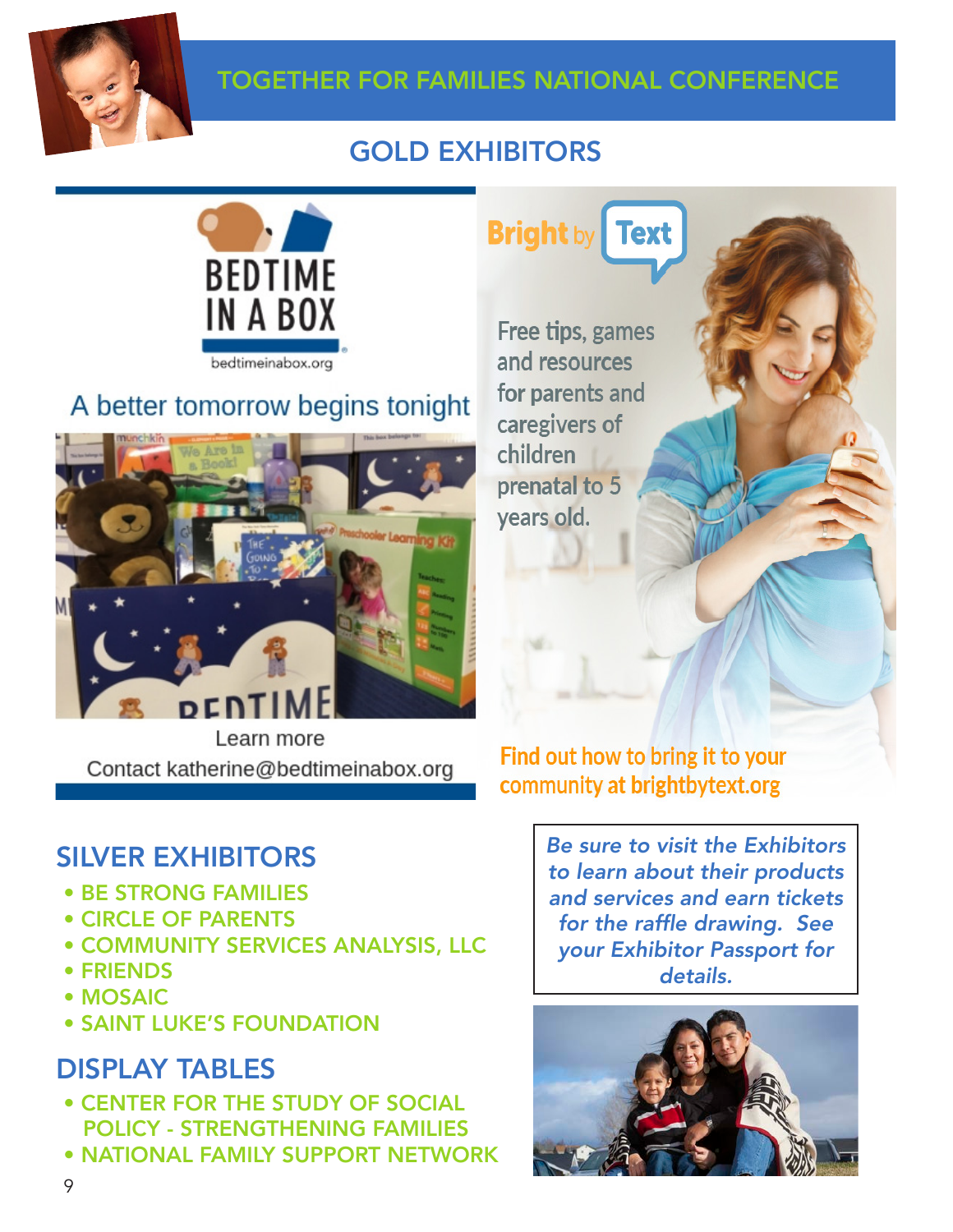

## TOGETHER FOR FAMILIES NATIONAL CONFERENCE

# GOLD EXHIBITORS



# A better tomorrow begins tonight



Learn more Contact katherine@bedtimeinabox.org

# SILVER EXHIBITORS

- BE STRONG FAMILIES
- CIRCLE OF PARENTS
- COMMUNITY SERVICES ANALYSIS, LLC
- FRIENDS
- MOSAIC
- SAINT LUKE'S FOUNDATION

# DISPLAY TABLES

- CENTER FOR THE STUDY OF SOCIAL POLICY - STRENGTHENING FAMILIES
- NATIONAL FAMILY SUPPORT NETWORK

**Bright by Text** 

Free tips, games and resources for parents and caregivers of children prenatal to 5 years old.

Find out how to bring it to your community at brightbytext.org

> *Be sure to visit the Exhibitors to learn about their products and services and earn tickets*  for the raffle drawing. See *your Exhibitor Passport for*  details.

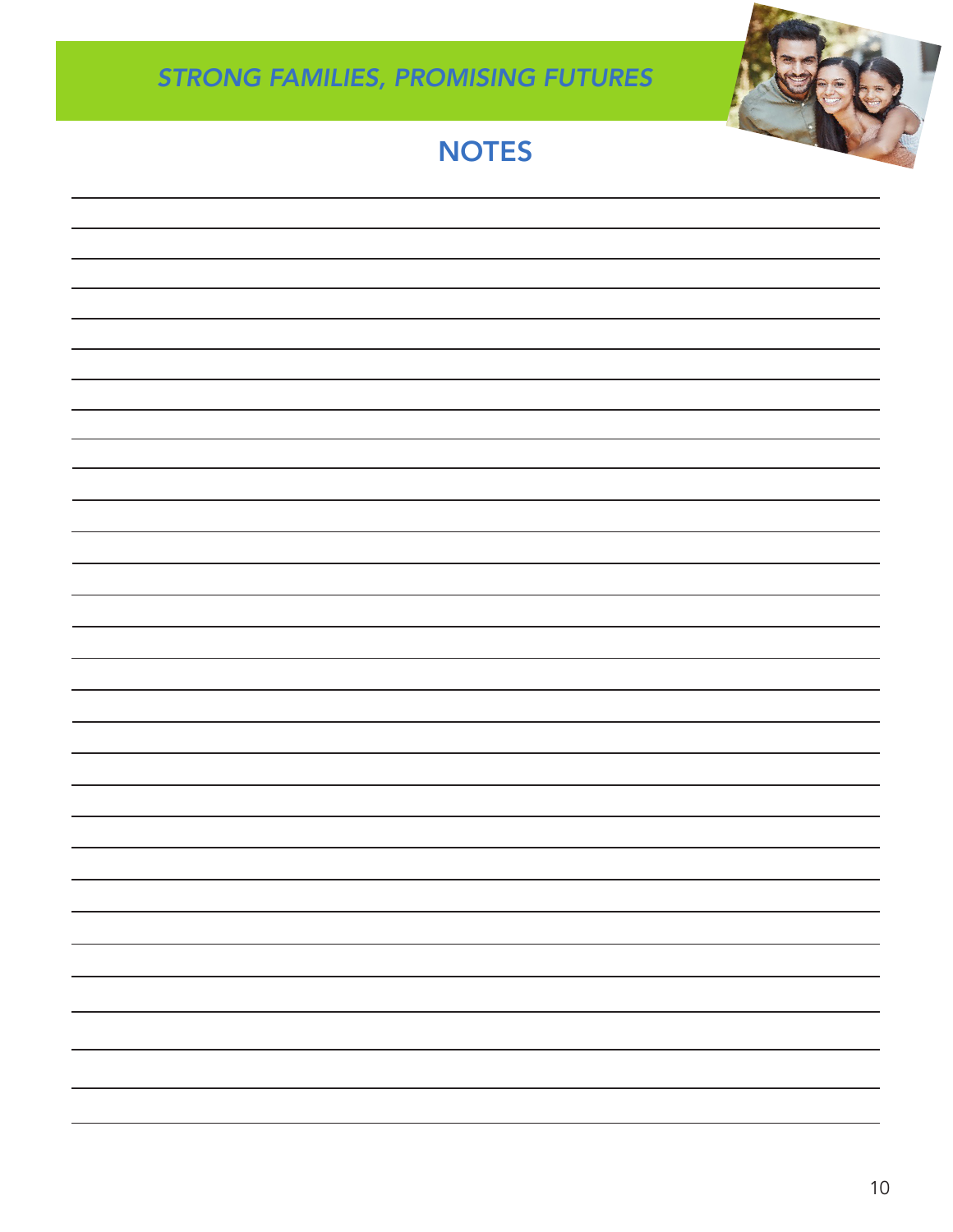

# *STRONG FAMILIES, PROMISING FUTURES*

# **NOTES**